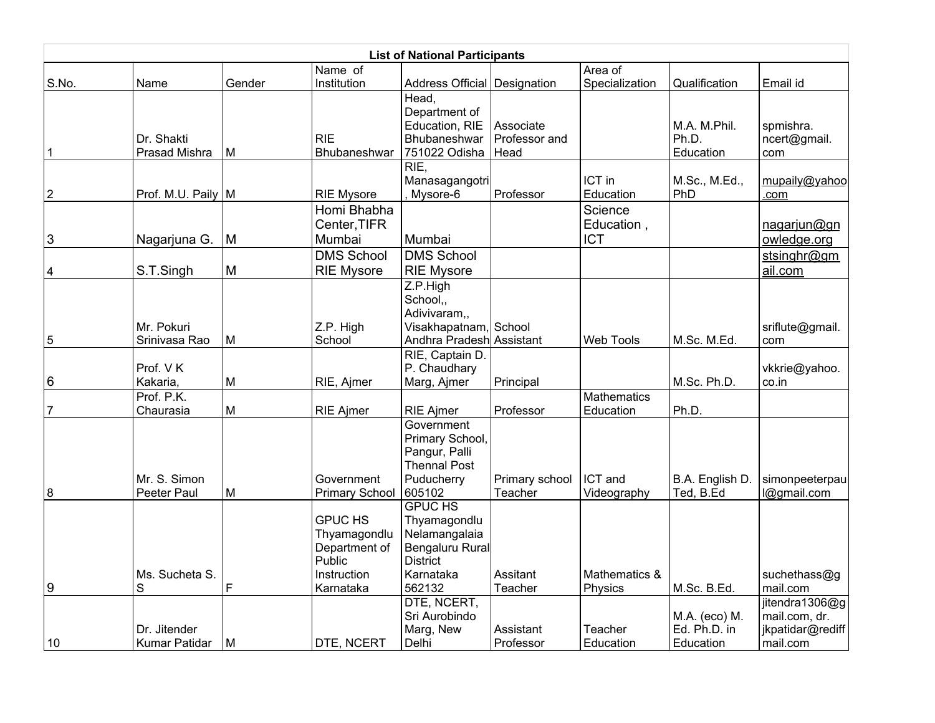|                  |                               |        |                                                                          | <b>List of National Participants</b>                                                               |                                    |                                     |                                            |                                               |
|------------------|-------------------------------|--------|--------------------------------------------------------------------------|----------------------------------------------------------------------------------------------------|------------------------------------|-------------------------------------|--------------------------------------------|-----------------------------------------------|
|                  |                               |        | Name of                                                                  |                                                                                                    |                                    | Area of                             |                                            |                                               |
| S.No.            | Name                          | Gender | Institution                                                              | Address Official Designation                                                                       |                                    | Specialization                      | Qualification                              | Email id                                      |
| 1                | Dr. Shakti<br>Prasad Mishra   | м      | <b>RIE</b><br>Bhubaneshwar                                               | Head,<br>Department of<br>Education, RIE<br>Bhubaneshwar<br>751022 Odisha                          | Associate<br>Professor and<br>Head |                                     | M.A. M.Phil.<br>Ph.D.<br>Education         | spmishra.<br>ncert@gmail.<br>com              |
| $\boldsymbol{2}$ | Prof. M.U. Paily              | M      | <b>RIE Mysore</b>                                                        | RIE<br>Manasagangotri<br>Mysore-6                                                                  | Professor                          | ICT in<br>Education                 | M.Sc., M.Ed.,<br>PhD                       | mupaily@yahoo<br>.com                         |
| 3                | Nagarjuna G.                  | M      | Homi Bhabha<br>Center, TIFR<br>Mumbai                                    | Mumbai                                                                                             |                                    | Science<br>Education,<br><b>ICT</b> |                                            | nagarjun@gn<br>owledge.org                    |
| 4                | S.T.Singh                     | M      | <b>DMS School</b><br><b>RIE Mysore</b>                                   | <b>DMS School</b><br><b>RIE Mysore</b>                                                             |                                    |                                     |                                            | stsinghr@gm<br>ail.com                        |
| 5                | Mr. Pokuri<br>Srinivasa Rao   | M      | Z.P. High<br>School                                                      | Z.P.High<br>School.,<br>Adivivaram,,<br>Visakhapatnam, School<br>Andhra Pradesh Assistant          |                                    | Web Tools                           | M.Sc. M.Ed.                                | sriflute@gmail.<br>com                        |
| 6                | Prof. VK<br>Kakaria,          | M      | RIE, Ajmer                                                               | RIE, Captain D.<br>P. Chaudhary<br>Marg, Ajmer                                                     | Principal                          |                                     | M.Sc. Ph.D.                                | vkkrie@yahoo.<br>co.in                        |
| $\overline{7}$   | Prof. P.K.<br>Chaurasia       | M      | <b>RIE Ajmer</b>                                                         | <b>RIE Ajmer</b>                                                                                   | Professor                          | Mathematics<br>Education            | Ph.D.                                      |                                               |
| 8                | Mr. S. Simon<br>Peeter Paul   | M      | Government<br><b>Primary School</b>                                      | Government<br>Primary School,<br>Pangur, Palli<br><b>Thennal Post</b><br>Puducherry<br>605102      | Primary school<br>Teacher          | ICT and<br>Videography              | B.A. English D.<br>Ted, B.Ed               | simonpeeterpau<br>l@gmail.com                 |
|                  | Ms. Sucheta S.                |        | <b>GPUC HS</b><br>Thyamagondlu<br>Department of<br>Public<br>Instruction | <b>GPUC HS</b><br>Thyamagondlu<br>Nelamangalaia<br>Bengaluru Rural<br><b>District</b><br>Karnataka | Assitant                           | Mathematics &                       |                                            | suchethass@g                                  |
| 9                | S                             | F      | Karnataka                                                                | 562132<br>DTE, NCERT,                                                                              | Teacher                            | Physics                             | M.Sc. B.Ed.                                | mail.com<br>jitendra1306@g                    |
| 10               | Dr. Jitender<br>Kumar Patidar | M      | DTE, NCERT                                                               | Sri Aurobindo<br>Marg, New<br>Delhi                                                                | Assistant<br>Professor             | Teacher<br>Education                | M.A. (eco) M.<br>Ed. Ph.D. in<br>Education | mail.com, dr.<br>jkpatidar@rediff<br>mail.com |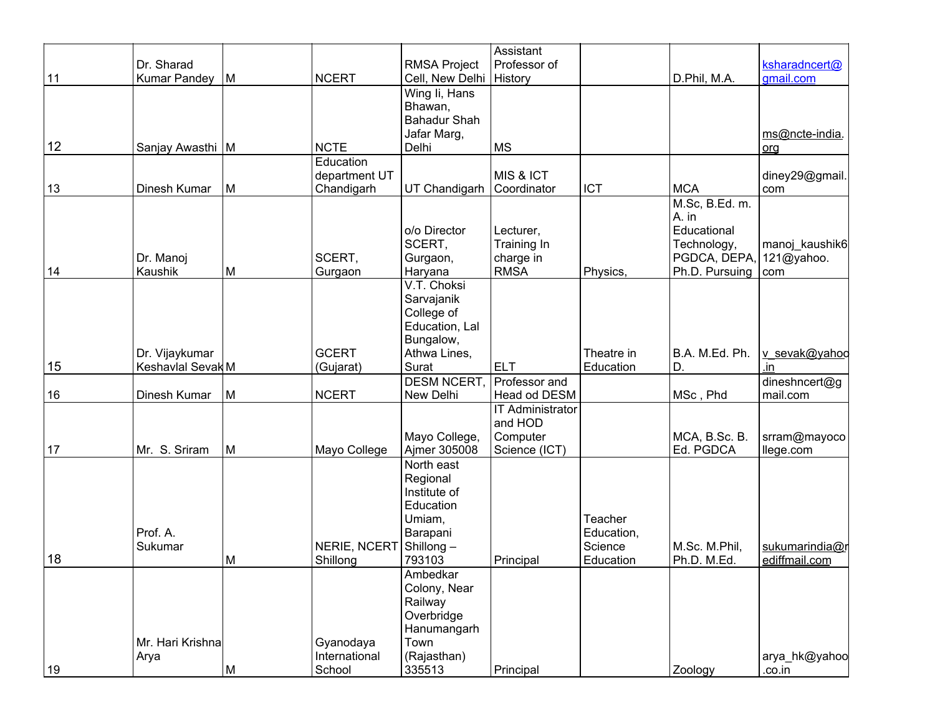|    |                   |   |               |                     | Assistant               |            |                |                |
|----|-------------------|---|---------------|---------------------|-------------------------|------------|----------------|----------------|
|    | Dr. Sharad        |   |               | <b>RMSA Project</b> | Professor of            |            |                | ksharadncert@  |
| 11 | Kumar Pandey      | M | <b>NCERT</b>  | Cell, New Delhi     | History                 |            | D.Phil, M.A.   | gmail.com      |
|    |                   |   |               | Wing Ii, Hans       |                         |            |                |                |
|    |                   |   |               | Bhawan,             |                         |            |                |                |
|    |                   |   |               | <b>Bahadur Shah</b> |                         |            |                |                |
|    |                   |   |               | Jafar Marg,         |                         |            |                | ms@ncte-india. |
| 12 | Sanjay Awasthi M  |   | <b>NCTE</b>   | Delhi               | <b>MS</b>               |            |                | $org$          |
|    |                   |   | Education     |                     |                         |            |                |                |
|    |                   |   | department UT |                     | MIS & ICT               |            |                | diney29@gmail. |
| 13 | Dinesh Kumar      | M | Chandigarh    | UT Chandigarh       | Coordinator             | <b>ICT</b> | <b>MCA</b>     | com            |
|    |                   |   |               |                     |                         |            | M.Sc, B.Ed. m. |                |
|    |                   |   |               |                     |                         |            | A. in          |                |
|    |                   |   |               | o/o Director        | Lecturer,               |            | Educational    |                |
|    |                   |   |               | SCERT,              | Training In             |            | Technology,    | manoj_kaushik6 |
|    | Dr. Manoj         |   | SCERT,        | Gurgaon,            | charge in               |            | PGDCA, DEPA,   | 121@yahoo.     |
| 14 | Kaushik           | M | Gurgaon       | Haryana             | <b>RMSA</b>             | Physics,   | Ph.D. Pursuing | com            |
|    |                   |   |               | V.T. Choksi         |                         |            |                |                |
|    |                   |   |               | Sarvajanik          |                         |            |                |                |
|    |                   |   |               | College of          |                         |            |                |                |
|    |                   |   |               | Education, Lal      |                         |            |                |                |
|    |                   |   |               | Bungalow,           |                         |            |                |                |
|    | Dr. Vijaykumar    |   | <b>GCERT</b>  | Athwa Lines,        |                         | Theatre in | B.A. M.Ed. Ph. | v sevak@yahoo  |
| 15 | Keshavlal Sevak M |   | (Gujarat)     | Surat               | <b>ELT</b>              | Education  | D.             | .in            |
|    |                   |   |               | DESM NCERT,         | Professor and           |            |                | dineshncert@g  |
| 16 | Dinesh Kumar      | M | <b>NCERT</b>  | New Delhi           | Head od DESM            |            | MSc, Phd       | mail.com       |
|    |                   |   |               |                     | <b>IT Administrator</b> |            |                |                |
|    |                   |   |               |                     | and HOD                 |            |                |                |
|    |                   |   |               | Mayo College,       | Computer                |            | MCA, B.Sc. B.  | srram@mayoco   |
| 17 | Mr. S. Sriram     | M | Mayo College  | Ajmer 305008        | Science (ICT)           |            | Ed. PGDCA      | llege.com      |
|    |                   |   |               | North east          |                         |            |                |                |
|    |                   |   |               |                     |                         |            |                |                |
|    |                   |   |               | Regional            |                         |            |                |                |
|    |                   |   |               | Institute of        |                         |            |                |                |
|    |                   |   |               | Education           |                         |            |                |                |
|    |                   |   |               | Umiam,              |                         | Teacher    |                |                |
|    | Prof. A.          |   |               | Barapani            |                         | Education, |                |                |
|    | Sukumar           |   | NERIE, NCERT  | Shillong-           |                         | Science    | M.Sc. M.Phil,  | sukumarindia@r |
| 18 |                   | M | Shillong      | 793103              | Principal               | Education  | Ph.D. M.Ed.    | ediffmail.com  |
|    |                   |   |               | Ambedkar            |                         |            |                |                |
|    |                   |   |               | Colony, Near        |                         |            |                |                |
|    |                   |   |               | Railway             |                         |            |                |                |
|    |                   |   |               | Overbridge          |                         |            |                |                |
|    |                   |   |               | Hanumangarh         |                         |            |                |                |
|    | Mr. Hari Krishna  |   | Gyanodaya     | Town                |                         |            |                |                |
|    | Arya              |   | International | (Rajasthan)         |                         |            |                | arya_hk@yahoo  |
| 19 |                   | M | School        | 335513              | Principal               |            | Zoology        | .co.in         |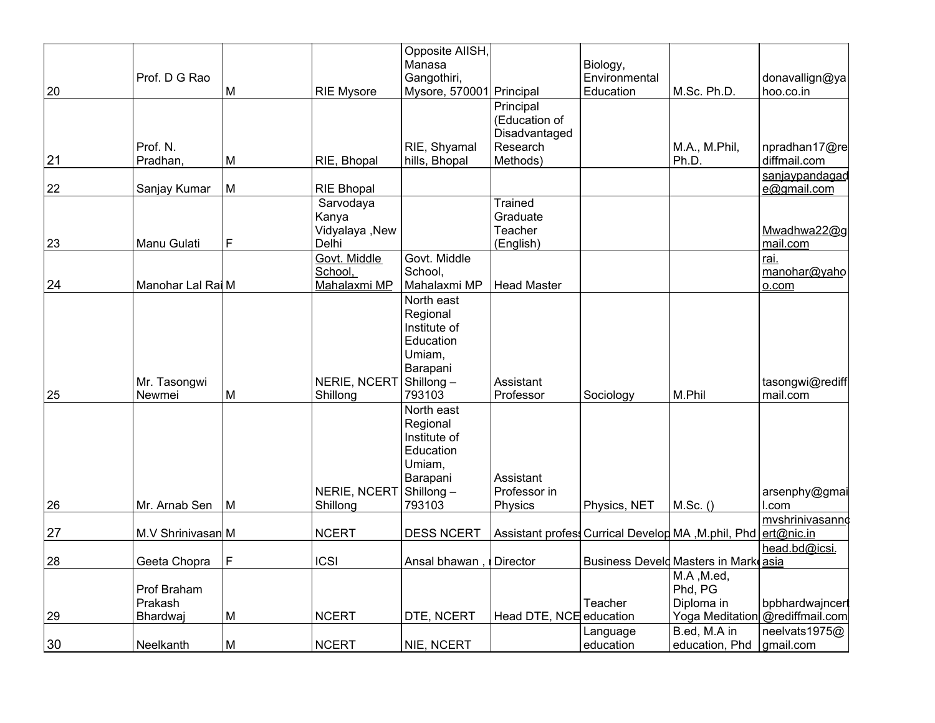|    |                   |   |                   | Opposite AlISH,          |                         |                                                    |                                      |                                 |
|----|-------------------|---|-------------------|--------------------------|-------------------------|----------------------------------------------------|--------------------------------------|---------------------------------|
|    |                   |   |                   | Manasa                   |                         | Biology,                                           |                                      |                                 |
|    | Prof. D G Rao     |   |                   | Gangothiri,              |                         | Environmental                                      |                                      | donavallign@ya                  |
| 20 |                   | M | <b>RIE Mysore</b> | Mysore, 570001 Principal |                         | Education                                          | M.Sc. Ph.D.                          | hoo.co.in                       |
|    |                   |   |                   |                          | Principal               |                                                    |                                      |                                 |
|    |                   |   |                   |                          | (Education of           |                                                    |                                      |                                 |
|    |                   |   |                   |                          | Disadvantaged           |                                                    |                                      |                                 |
|    | Prof. N.          |   |                   | RIE, Shyamal             | Research                |                                                    | M.A., M.Phil,                        | npradhan17@re                   |
| 21 | Pradhan,          | M | RIE, Bhopal       | hills, Bhopal            | Methods)                |                                                    | Ph.D.                                | diffmail.com                    |
|    |                   |   |                   |                          |                         |                                                    |                                      | sanjaypandagad                  |
| 22 | Sanjay Kumar      | M | <b>RIE Bhopal</b> |                          |                         |                                                    |                                      | e@gmail.com                     |
|    |                   |   | Sarvodaya         |                          | Trained                 |                                                    |                                      |                                 |
|    |                   |   | Kanya             |                          | Graduate                |                                                    |                                      |                                 |
|    |                   |   | Vidyalaya , New   |                          | Teacher                 |                                                    |                                      | Mwadhwa22@g                     |
| 23 | Manu Gulati       | F | Delhi             |                          | (English)               |                                                    |                                      | mail.com                        |
|    |                   |   | Govt. Middle      | Govt. Middle             |                         |                                                    |                                      | rai.                            |
|    |                   |   | School,           | School,                  |                         |                                                    |                                      | manohar@yaho                    |
| 24 | Manohar Lal Rai M |   | Mahalaxmi MP      | Mahalaxmi MP             | <b>Head Master</b>      |                                                    |                                      | 0.00 <sub>m</sub>               |
|    |                   |   |                   | North east               |                         |                                                    |                                      |                                 |
|    |                   |   |                   | Regional                 |                         |                                                    |                                      |                                 |
|    |                   |   |                   | Institute of             |                         |                                                    |                                      |                                 |
|    |                   |   |                   | Education                |                         |                                                    |                                      |                                 |
|    |                   |   |                   | Umiam,                   |                         |                                                    |                                      |                                 |
|    |                   |   |                   | Barapani                 |                         |                                                    |                                      |                                 |
|    | Mr. Tasongwi      |   | NERIE, NCERT      | Shillong-                | Assistant               |                                                    |                                      | tasongwi@rediff                 |
| 25 | Newmei            | M | Shillong          | 793103                   | Professor               | Sociology                                          | M.Phil                               | mail.com                        |
|    |                   |   |                   | North east               |                         |                                                    |                                      |                                 |
|    |                   |   |                   | Regional                 |                         |                                                    |                                      |                                 |
|    |                   |   |                   | Institute of             |                         |                                                    |                                      |                                 |
|    |                   |   |                   | Education                |                         |                                                    |                                      |                                 |
|    |                   |   |                   | Umiam,                   |                         |                                                    |                                      |                                 |
|    |                   |   |                   | Barapani                 | Assistant               |                                                    |                                      |                                 |
|    |                   |   | NERIE, NCERT      | Shillong-                | Professor in            |                                                    |                                      | arsenphy@gmai                   |
| 26 | Mr. Arnab Sen     | M | Shillong          | 793103                   | Physics                 | Physics, NET                                       | M.Sc.()                              | l.com                           |
|    |                   |   |                   |                          |                         |                                                    |                                      | mvshrinivasanno                 |
| 27 | M.V Shrinivasan M |   | <b>NCERT</b>      | <b>DESS NCERT</b>        |                         | Assistant profess Currical Develop MA, M.phil, Phd |                                      | ert@nic.in                      |
|    |                   |   |                   |                          |                         |                                                    |                                      | head.bd@icsi.                   |
| 28 | Geeta Chopra      | F | <b>ICSI</b>       | Ansal bhawan             | Director                |                                                    | Business Develd Masters in Mark asia |                                 |
|    |                   |   |                   |                          |                         |                                                    | M.A, M.ed,                           |                                 |
|    | Prof Braham       |   |                   |                          |                         |                                                    | Phd, PG                              |                                 |
|    | Prakash           |   |                   |                          |                         | Teacher                                            | Diploma in                           | bpbhardwajncerl                 |
| 29 | Bhardwaj          | M | <b>NCERT</b>      | DTE, NCERT               | Head DTE, NCE education |                                                    |                                      | Yoga Meditation @rediffmail.com |
|    |                   |   |                   |                          |                         | Language                                           | B.ed, M.A in                         | neelvats1975@                   |
| 30 | Neelkanth         | M | <b>NCERT</b>      | NIE, NCERT               |                         | education                                          | education, Phd                       | gmail.com                       |
|    |                   |   |                   |                          |                         |                                                    |                                      |                                 |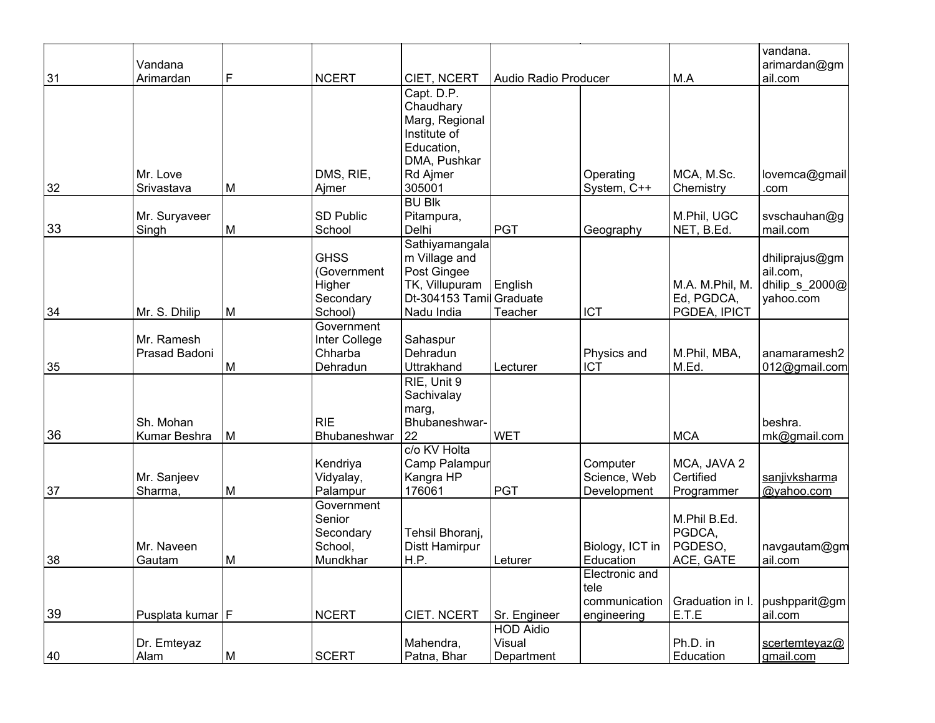|    |                             |   |                          |                             |                                  |                             |                          | vandana.                    |
|----|-----------------------------|---|--------------------------|-----------------------------|----------------------------------|-----------------------------|--------------------------|-----------------------------|
| 31 | Vandana<br>Arimardan        | F | <b>NCERT</b>             | CIET, NCERT                 | Audio Radio Producer             |                             | M.A                      | arimardan@gm<br>ail.com     |
|    |                             |   |                          | Capt. D.P.                  |                                  |                             |                          |                             |
|    |                             |   |                          | Chaudhary                   |                                  |                             |                          |                             |
|    |                             |   |                          | Marg, Regional              |                                  |                             |                          |                             |
|    |                             |   |                          | Institute of                |                                  |                             |                          |                             |
|    |                             |   |                          | Education,                  |                                  |                             |                          |                             |
|    |                             |   |                          | DMA, Pushkar                |                                  |                             |                          |                             |
|    | Mr. Love                    |   | DMS, RIE,                | Rd Ajmer                    |                                  | Operating                   | MCA, M.Sc.               | lovemca@gmail               |
| 32 | Srivastava                  | M | Ajmer                    | 305001                      |                                  | System, C++                 | Chemistry                | .com                        |
|    | Mr. Suryaveer               |   | <b>SD Public</b>         | <b>BU Blk</b><br>Pitampura, |                                  |                             | M.Phil, UGC              | svschauhan@g                |
| 33 | Singh                       | M | School                   | Delhi                       | <b>PGT</b>                       | Geography                   | NET, B.Ed.               | mail.com                    |
|    |                             |   |                          | Sathiyamangala              |                                  |                             |                          |                             |
|    |                             |   | <b>GHSS</b>              | m Village and               |                                  |                             |                          | dhiliprajus@gm              |
|    |                             |   | (Government              | Post Gingee                 |                                  |                             |                          | ail.com,                    |
|    |                             |   | Higher                   | TK, Villupuram              | English                          |                             | M.A. M.Phil, M.          | dhilip_s_2000@              |
|    |                             |   | Secondary                | Dt-304153 Tamil             | Graduate                         |                             | Ed, PGDCA,               | yahoo.com                   |
| 34 | Mr. S. Dhilip               | M | School)                  | Nadu India                  | Teacher                          | <b>ICT</b>                  | PGDEA, IPICT             |                             |
|    |                             |   | Government               |                             |                                  |                             |                          |                             |
|    | Mr. Ramesh<br>Prasad Badoni |   | Inter College<br>Chharba | Sahaspur<br>Dehradun        |                                  |                             | M.Phil, MBA,             | anamaramesh2                |
| 35 |                             | M | Dehradun                 | Uttrakhand                  | Lecturer                         | Physics and<br>ICT          | M.Ed.                    | 012@gmail.com               |
|    |                             |   |                          | RIE, Unit 9                 |                                  |                             |                          |                             |
|    |                             |   |                          | Sachivalay                  |                                  |                             |                          |                             |
|    |                             |   |                          | marg,                       |                                  |                             |                          |                             |
|    | Sh. Mohan                   |   | <b>RIE</b>               | Bhubaneshwar-               |                                  |                             |                          | beshra.                     |
| 36 | Kumar Beshra                | M | Bhubaneshwar             | 22                          | <b>WET</b>                       |                             | <b>MCA</b>               | mk@gmail.com                |
|    |                             |   |                          | c/o KV Holta                |                                  |                             |                          |                             |
|    |                             |   | Kendriya                 | Camp Palampur               |                                  | Computer                    | MCA, JAVA 2<br>Certified |                             |
| 37 | Mr. Sanjeev<br>Sharma,      | M | Vidyalay,<br>Palampur    | Kangra HP<br>176061         | <b>PGT</b>                       | Science, Web<br>Development | Programmer               | sanjivksharma<br>@yahoo.com |
|    |                             |   | Government               |                             |                                  |                             |                          |                             |
|    |                             |   | Senior                   |                             |                                  |                             | M.Phil B.Ed.             |                             |
|    |                             |   | Secondary                | Tehsil Bhoranj,             |                                  |                             | PGDCA,                   |                             |
|    | Mr. Naveen                  |   | School,                  | Distt Hamirpur              |                                  | Biology, ICT in             | PGDESO,                  | navgautam@gm                |
| 38 | Gautam                      | M | Mundkhar                 | H.P.                        | Leturer                          | Education                   | ACE, GATE                | ail.com                     |
|    |                             |   |                          |                             |                                  | Electronic and              |                          |                             |
|    |                             |   |                          |                             |                                  | tele                        |                          |                             |
| 39 |                             |   | <b>NCERT</b>             | CIET. NCERT                 |                                  | communication               | Graduation in I.         | pushpparit@gm               |
|    | Pusplata kumar   F          |   |                          |                             | Sr. Engineer<br><b>HOD Aidio</b> | engineering                 | E.T.E                    | ail.com                     |
|    | Dr. Emteyaz                 |   |                          | Mahendra,                   | Visual                           |                             | Ph.D. in                 | scertemteyaz@               |
| 40 | Alam                        | M | <b>SCERT</b>             | Patna, Bhar                 | Department                       |                             | Education                | gmail.com                   |
|    |                             |   |                          |                             |                                  |                             |                          |                             |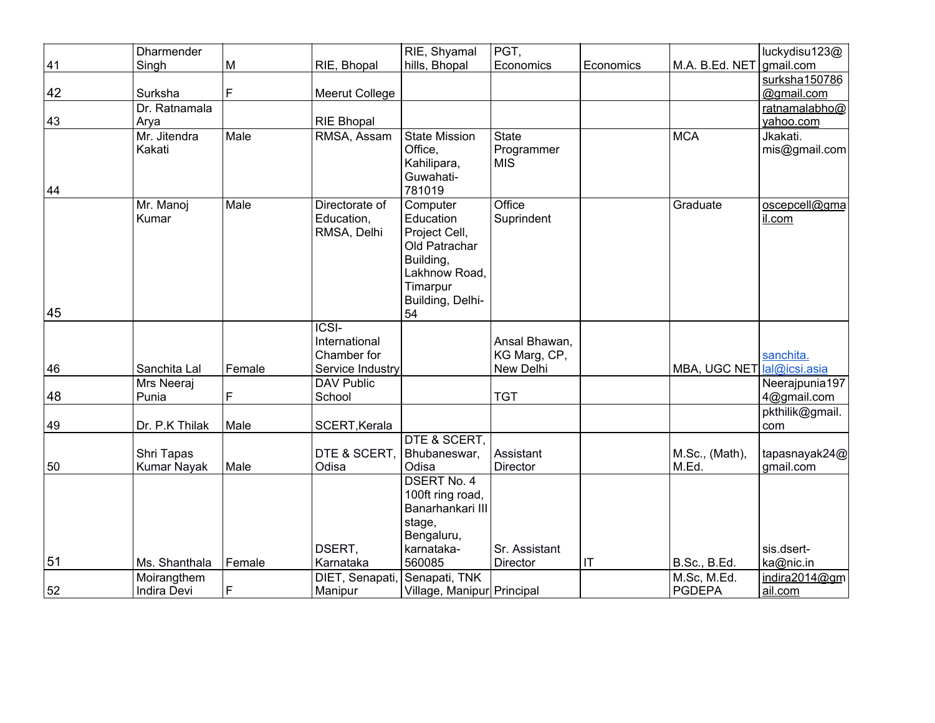|    | Dharmender         |        |                       | RIE, Shyamal               | PGT,            |                        |                     | luckydisu123@   |
|----|--------------------|--------|-----------------------|----------------------------|-----------------|------------------------|---------------------|-----------------|
| 41 | Singh              | M      | RIE, Bhopal           | hills, Bhopal              | Economics       | Economics              | M.A. B.Ed. NET      | gmail.com       |
|    |                    |        |                       |                            |                 |                        |                     | surksha150786   |
| 42 | Surksha            | F      | <b>Meerut College</b> |                            |                 |                        |                     | @gmail.com      |
|    | Dr. Ratnamala      |        |                       |                            |                 |                        |                     | ratnamalabho@   |
| 43 | Arya               |        | <b>RIE Bhopal</b>     |                            |                 |                        |                     | yahoo.com       |
|    | Mr. Jitendra       | Male   | RMSA, Assam           | <b>State Mission</b>       | <b>State</b>    |                        | <b>MCA</b>          | Jkakati.        |
|    | Kakati             |        |                       | Office,                    | Programmer      |                        |                     | mis@gmail.com   |
|    |                    |        |                       | Kahilipara,                | <b>MIS</b>      |                        |                     |                 |
|    |                    |        |                       | Guwahati-                  |                 |                        |                     |                 |
| 44 |                    |        |                       | 781019                     |                 |                        |                     |                 |
|    | Mr. Manoj          | Male   | Directorate of        | Computer                   | Office          |                        | Graduate            | oscepcell@gma   |
|    | Kumar              |        | Education,            | Education                  | Suprindent      |                        |                     | il.com          |
|    |                    |        | RMSA, Delhi           | Project Cell,              |                 |                        |                     |                 |
|    |                    |        |                       | Old Patrachar<br>Building, |                 |                        |                     |                 |
|    |                    |        |                       | Lakhnow Road,              |                 |                        |                     |                 |
|    |                    |        |                       | Timarpur                   |                 |                        |                     |                 |
|    |                    |        |                       | Building, Delhi-           |                 |                        |                     |                 |
| 45 |                    |        |                       | 54                         |                 |                        |                     |                 |
|    |                    |        | <b>ICSI-</b>          |                            |                 |                        |                     |                 |
|    |                    |        | International         |                            | Ansal Bhawan,   |                        |                     |                 |
|    |                    |        | Chamber for           |                            | KG Marg, CP,    |                        |                     | sanchita.       |
| 46 | Sanchita Lal       | Female | Service Industry      |                            | New Delhi       |                        | MBA, UGC NET        | lal@icsi.asia   |
|    | Mrs Neeraj         |        | <b>DAV Public</b>     |                            |                 |                        |                     | Neerajpunia197  |
| 48 | Punia              | F      | School                |                            | <b>TGT</b>      |                        |                     | 4@gmail.com     |
|    |                    |        |                       |                            |                 |                        |                     | pkthilik@gmail. |
| 49 | Dr. P.K Thilak     | Male   | SCERT, Kerala         |                            |                 |                        |                     | com             |
|    |                    |        |                       | DTE & SCERT,               |                 |                        |                     |                 |
|    | Shri Tapas         |        | DTE & SCERT,          | Bhubaneswar,               | Assistant       |                        | M.Sc., (Math),      | tapasnayak24@   |
| 50 | Kumar Nayak        | Male   | Odisa                 | Odisa                      | Director        |                        | M.Ed.               | gmail.com       |
|    |                    |        |                       | <b>DSERT No. 4</b>         |                 |                        |                     |                 |
|    |                    |        |                       | 100ft ring road,           |                 |                        |                     |                 |
|    |                    |        |                       | Banarhankari III           |                 |                        |                     |                 |
|    |                    |        |                       | stage,<br>Bengaluru,       |                 |                        |                     |                 |
|    |                    |        | DSERT.                | karnataka-                 | Sr. Assistant   |                        |                     | sis.dsert-      |
| 51 | Ms. Shanthala      | Female | Karnataka             | 560085                     | <b>Director</b> | $\mathsf{I}\mathsf{T}$ | <b>B.Sc., B.Ed.</b> | ka@nic.in       |
|    | Moirangthem        |        | DIET, Senapati,       | Senapati, TNK              |                 |                        | M.Sc, M.Ed.         | indira2014@gm   |
| 52 | <b>Indira Devi</b> | F      | Manipur               | Village, Manipur Principal |                 |                        | PGDEPA              | ail.com         |
|    |                    |        |                       |                            |                 |                        |                     |                 |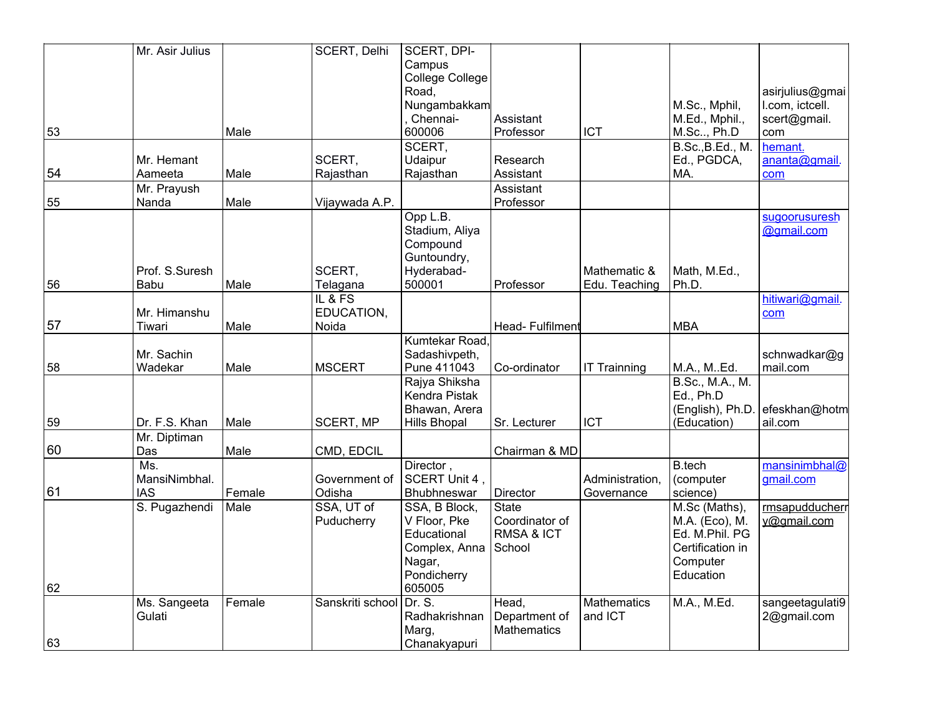|    | Mr. Asir Julius |        | SCERT, Delhi     | SCERT, DPI-         |                 |                     |                  |                 |
|----|-----------------|--------|------------------|---------------------|-----------------|---------------------|------------------|-----------------|
|    |                 |        |                  | Campus              |                 |                     |                  |                 |
|    |                 |        |                  | College College     |                 |                     |                  |                 |
|    |                 |        |                  | Road,               |                 |                     |                  | asirjulius@gmai |
|    |                 |        |                  | Nungambakkam        |                 |                     | M.Sc., Mphil,    | I.com, ictcell. |
|    |                 |        |                  | Chennai-            | Assistant       |                     | M.Ed., Mphil.,   | scert@gmail.    |
| 53 |                 | Male   |                  | 600006              | Professor       | <b>ICT</b>          | M.Sc, Ph.D       | com             |
|    |                 |        |                  | SCERT,              |                 |                     | B.Sc., B.Ed., M. | hemant.         |
|    | Mr. Hemant      |        | SCERT,           | Udaipur             | Research        |                     | Ed., PGDCA,      | ananta@gmail.   |
| 54 | Aameeta         | Male   | Rajasthan        | Rajasthan           | Assistant       |                     | MA.              | com             |
|    | Mr. Prayush     |        |                  |                     | Assistant       |                     |                  |                 |
| 55 | Nanda           | Male   | Vijaywada A.P.   |                     | Professor       |                     |                  |                 |
|    |                 |        |                  | Opp L.B.            |                 |                     |                  | sugoorusuresh   |
|    |                 |        |                  | Stadium, Aliya      |                 |                     |                  | @gmail.com      |
|    |                 |        |                  | Compound            |                 |                     |                  |                 |
|    |                 |        |                  | Guntoundry,         |                 |                     |                  |                 |
|    | Prof. S.Suresh  |        | SCERT,           | Hyderabad-          |                 | Mathematic &        | Math, M.Ed.,     |                 |
| 56 | Babu            | Male   | Telagana         | 500001              | Professor       | Edu. Teaching       | Ph.D.            |                 |
|    |                 |        | IL & FS          |                     |                 |                     |                  | hitiwari@gmail. |
|    | Mr. Himanshu    |        | EDUCATION,       |                     |                 |                     |                  | com             |
| 57 | Tiwari          | Male   | Noida            |                     | Head-Fulfilment |                     | <b>MBA</b>       |                 |
|    |                 |        |                  | Kumtekar Road,      |                 |                     |                  |                 |
|    | Mr. Sachin      |        |                  | Sadashivpeth,       |                 |                     |                  | schnwadkar@g    |
| 58 | Wadekar         | Male   | <b>MSCERT</b>    | Pune 411043         | Co-ordinator    | <b>IT Trainning</b> | M.A., M. Ed.     | mail.com        |
|    |                 |        |                  | Rajya Shiksha       |                 |                     | B.Sc., M.A., M.  |                 |
|    |                 |        |                  | Kendra Pistak       |                 |                     | Ed., Ph.D        |                 |
|    |                 |        |                  | Bhawan, Arera       |                 |                     | (English), Ph.D. | efeskhan@hotm   |
| 59 | Dr. F.S. Khan   | Male   | <b>SCERT, MP</b> | <b>Hills Bhopal</b> | Sr. Lecturer    | <b>ICT</b>          | (Education)      | ail.com         |
|    | Mr. Diptiman    |        |                  |                     |                 |                     |                  |                 |
| 60 | Das             | Male   | CMD, EDCIL       |                     | Chairman & MD   |                     |                  |                 |
|    | Ms.             |        |                  | Director,           |                 |                     | <b>B.tech</b>    | mansinimbhal@   |
|    | MansiNimbhal.   |        | Government of    | SCERT Unit 4,       |                 | Administration,     | (computer        | gmail.com       |
| 61 | <b>IAS</b>      | Female | Odisha           | Bhubhneswar         | Director        | Governance          | science)         |                 |
|    | S. Pugazhendi   | Male   | SSA, UT of       | SSA, B Block,       | <b>State</b>    |                     | M.Sc (Maths),    | rmsapudducherr  |
|    |                 |        | Puducherry       | V Floor, Pke        | Coordinator of  |                     | M.A. (Eco), M.   | v@gmail.com     |
|    |                 |        |                  | Educational         | RMSA & ICT      |                     | Ed. M.Phil. PG   |                 |
|    |                 |        |                  | Complex, Anna       | School          |                     | Certification in |                 |
|    |                 |        |                  | Nagar,              |                 |                     | Computer         |                 |
|    |                 |        |                  | Pondicherry         |                 |                     | Education        |                 |
| 62 |                 |        |                  | 605005              |                 |                     |                  |                 |
|    | Ms. Sangeeta    | Female | Sanskriti school | Dr. S.              | Head,           | <b>Mathematics</b>  | M.A., M.Ed.      | sangeetagulati9 |
|    | Gulati          |        |                  | Radhakrishnan       | Department of   | and ICT             |                  | 2@gmail.com     |
|    |                 |        |                  | Marg,               | Mathematics     |                     |                  |                 |
| 63 |                 |        |                  | Chanakyapuri        |                 |                     |                  |                 |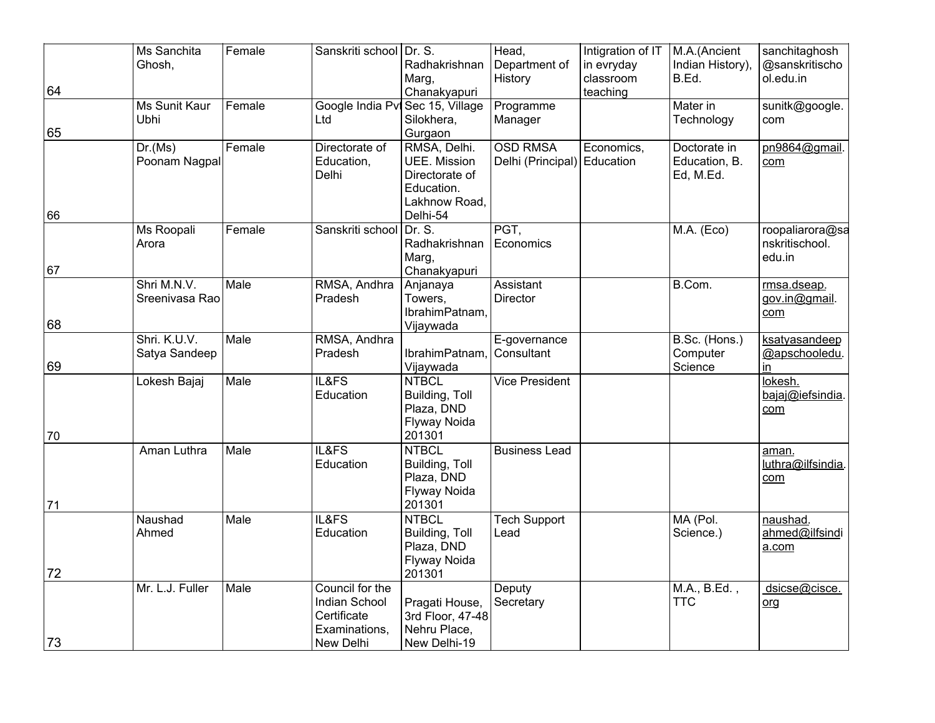|    | Ms Sanchita     | Female | Sanskriti school Dr. S.    |                                       | Head,                       | Intigration of IT   M.A. (Ancient |                            | sanchitaghosh               |
|----|-----------------|--------|----------------------------|---------------------------------------|-----------------------------|-----------------------------------|----------------------------|-----------------------------|
|    | Ghosh,          |        |                            | Radhakrishnan<br>Marg,                | Department of<br>History    | in evryday<br>classroom           | Indian History),<br>B.Ed.  | @sanskritischo<br>ol.edu.in |
| 64 |                 |        |                            | Chanakyapuri                          |                             | teaching                          |                            |                             |
|    | Ms Sunit Kaur   | Female |                            | Google India Pvl Sec 15, Village      | Programme                   |                                   | Mater in                   | sunitk@google.              |
|    | Ubhi            |        | Ltd                        | Silokhera,                            | Manager                     |                                   | Technology                 | com                         |
| 65 |                 |        |                            | Gurgaon                               |                             |                                   |                            |                             |
|    | Dr.(Ms)         | Female | Directorate of             | RMSA, Delhi.                          | <b>OSD RMSA</b>             | Economics,                        | Doctorate in               | pn9864@gmail.               |
|    | Poonam Nagpal   |        | Education,<br>Delhi        | <b>UEE.</b> Mission<br>Directorate of | Delhi (Principal) Education |                                   | Education, B.<br>Ed, M.Ed. | com                         |
|    |                 |        |                            | Education.                            |                             |                                   |                            |                             |
|    |                 |        |                            | Lakhnow Road,                         |                             |                                   |                            |                             |
| 66 |                 |        |                            | Delhi-54                              |                             |                                   |                            |                             |
|    | Ms Roopali      | Female | Sanskriti school           | Dr. S.                                | PGT,                        |                                   | M.A. (Eco)                 | roopaliarora@sa             |
|    | Arora           |        |                            | Radhakrishnan                         | Economics                   |                                   |                            | nskritischool.              |
| 67 |                 |        |                            | Marg,<br>Chanakyapuri                 |                             |                                   |                            | edu.in                      |
|    | Shri M.N.V.     | Male   | RMSA, Andhra               | Anjanaya                              | Assistant                   |                                   | B.Com.                     | rmsa.dseap.                 |
|    | Sreenivasa Rao  |        | Pradesh                    | Towers,                               | <b>Director</b>             |                                   |                            | gov.in@gmail.               |
|    |                 |        |                            | IbrahimPatnam,                        |                             |                                   |                            | com                         |
| 68 |                 |        |                            | Vijaywada                             |                             |                                   |                            |                             |
|    | Shri. K.U.V.    | Male   | RMSA, Andhra               |                                       | E-governance                |                                   | B.Sc. (Hons.)              | ksatyasandeep               |
| 69 | Satya Sandeep   |        | Pradesh                    | IbrahimPatnam,<br>Vijaywada           | Consultant                  |                                   | Computer<br>Science        | @apschooledu.<br>in.        |
|    | Lokesh Bajaj    | Male   | IL&FS                      | <b>NTBCL</b>                          | <b>Vice President</b>       |                                   |                            | lokesh.                     |
|    |                 |        | Education                  | Building, Toll                        |                             |                                   |                            | bajaj@iefsindia.            |
|    |                 |        |                            | Plaza, DND                            |                             |                                   |                            | com                         |
|    |                 |        |                            | Flyway Noida                          |                             |                                   |                            |                             |
| 70 |                 |        |                            | 201301                                |                             |                                   |                            |                             |
|    | Aman Luthra     | Male   | IL&FS<br>Education         | <b>NTBCL</b><br>Building, Toll        | <b>Business Lead</b>        |                                   |                            | aman.<br>luthra@ilfsindia   |
|    |                 |        |                            | Plaza, DND                            |                             |                                   |                            | com                         |
|    |                 |        |                            | Flyway Noida                          |                             |                                   |                            |                             |
| 71 |                 |        |                            | 201301                                |                             |                                   |                            |                             |
|    | Naushad         | Male   | IL&FS                      | <b>NTBCL</b>                          | <b>Tech Support</b>         |                                   | MA (Pol.                   | naushad.                    |
|    | Ahmed           |        | Education                  | Building, Toll                        | Lead                        |                                   | Science.)                  | ahmed@ilfsindi              |
|    |                 |        |                            | Plaza, DND<br><b>Flyway Noida</b>     |                             |                                   |                            | a.com                       |
| 72 |                 |        |                            | 201301                                |                             |                                   |                            |                             |
|    | Mr. L.J. Fuller | Male   | Council for the            |                                       | Deputy                      |                                   | M.A., B.Ed.,               | dsicse@cisce.               |
|    |                 |        | Indian School              | Pragati House,                        | Secretary                   |                                   | <b>TTC</b>                 | <u>org</u>                  |
|    |                 |        | Certificate                | 3rd Floor, 47-48                      |                             |                                   |                            |                             |
| 73 |                 |        | Examinations,<br>New Delhi | Nehru Place,<br>New Delhi-19          |                             |                                   |                            |                             |
|    |                 |        |                            |                                       |                             |                                   |                            |                             |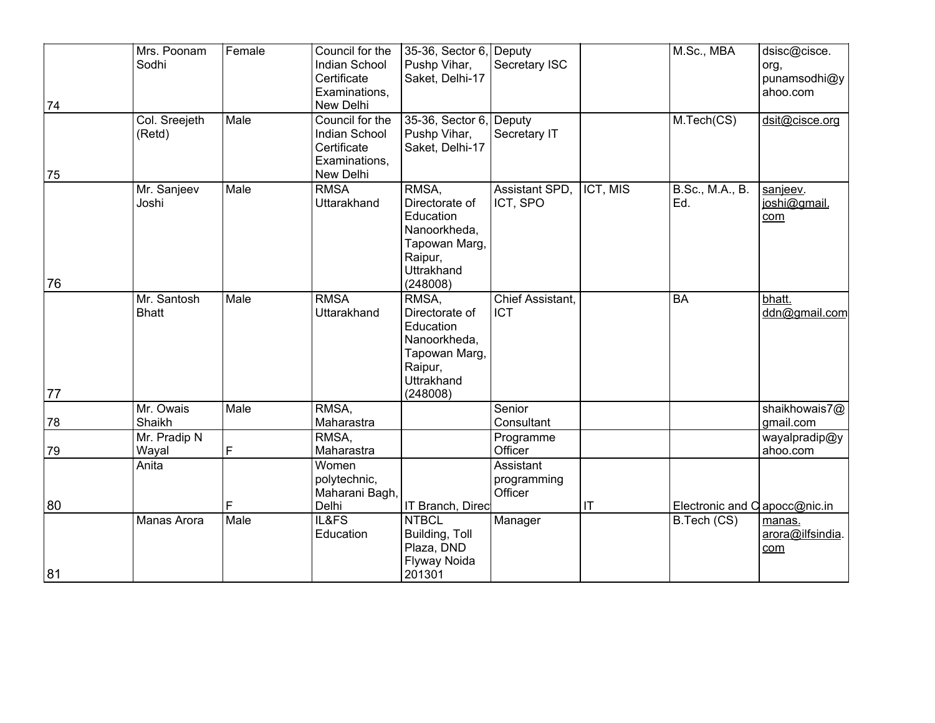|    | Mrs. Poonam<br>Sodhi        | Female | Council for the<br><b>Indian School</b><br>Certificate<br>Examinations, | 35-36, Sector 6, Deputy<br>Pushp Vihar,<br>Saket, Delhi-17                                               | Secretary ISC                       |          | M.Sc., MBA                    | dsisc@cisce.<br>org,<br>punamsodhi@y<br>ahoo.com |
|----|-----------------------------|--------|-------------------------------------------------------------------------|----------------------------------------------------------------------------------------------------------|-------------------------------------|----------|-------------------------------|--------------------------------------------------|
| 74 | Col. Sreejeth               | Male   | New Delhi<br>Council for the                                            | 35-36, Sector 6, Deputy                                                                                  |                                     |          | M.Tech(CS)                    | dsit@cisce.org                                   |
|    | (Retd)                      |        | <b>Indian School</b><br>Certificate<br>Examinations,                    | Pushp Vihar,<br>Saket, Delhi-17                                                                          | Secretary IT                        |          |                               |                                                  |
| 75 |                             |        | New Delhi                                                               |                                                                                                          |                                     |          |                               |                                                  |
|    | Mr. Sanjeev<br>Joshi        | Male   | <b>RMSA</b><br><b>Uttarakhand</b>                                       | RMSA,<br>Directorate of<br>Education<br>Nanoorkheda,<br>Tapowan Marg,<br>Raipur,<br><b>Uttrakhand</b>    | Assistant SPD,<br>ICT, SPO          | ICT, MIS | <b>B.Sc., M.A., B.</b><br>Ed. | sanjeev.<br>joshi@gmail.<br>com                  |
| 76 |                             |        |                                                                         | (248008)                                                                                                 |                                     |          |                               |                                                  |
|    | Mr. Santosh<br><b>Bhatt</b> | Male   | <b>RMSA</b><br>Uttarakhand                                              | $RMSA$ ,<br>Directorate of<br>Education<br>Nanoorkheda,<br>Tapowan Marg,<br>Raipur,<br><b>Uttrakhand</b> | Chief Assistant.<br><b>ICT</b>      |          | <b>BA</b>                     | bhatt.<br>ddn@gmail.com                          |
| 77 |                             | Male   | RMSA,                                                                   | (248008)                                                                                                 |                                     |          |                               |                                                  |
| 78 | Mr. Owais<br>Shaikh         |        | Maharastra                                                              |                                                                                                          | Senior<br>Consultant                |          |                               | shaikhowais7@<br>gmail.com                       |
| 79 | Mr. Pradip N<br>Wayal       | F      | RMSA,<br>Maharastra                                                     |                                                                                                          | Programme<br>Officer                |          |                               | wayalpradip@y<br>ahoo.com                        |
|    | Anita                       |        | Women<br>polytechnic,<br>Maharani Bagh.                                 |                                                                                                          | Assistant<br>programming<br>Officer |          |                               |                                                  |
| 80 |                             | F      | Delhi                                                                   | IT Branch, Direc                                                                                         |                                     | IT       | Electronic and C apocc@nic.in |                                                  |
| 81 | Manas Arora                 | Male   | IL&FS<br>Education                                                      | <b>NTBCL</b><br>Building, Toll<br>Plaza, DND<br>Flyway Noida<br>201301                                   | Manager                             |          | B.Tech (CS)                   | manas.<br>arora@ilfsindia.<br>com                |